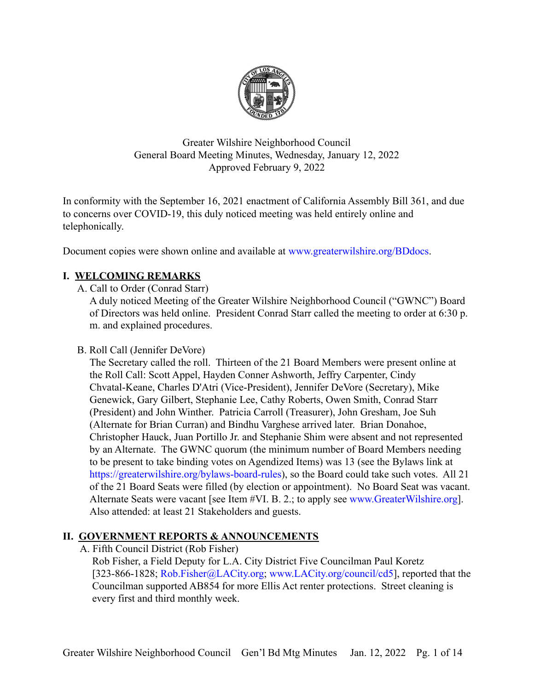

Greater Wilshire Neighborhood Council General Board Meeting Minutes, Wednesday, January 12, 2022 Approved February 9, 2022

In conformity with the September 16, 2021 enactment of California Assembly Bill 361, and due to concerns over COVID-19, this duly noticed meeting was held entirely online and telephonically.

Document copies were shown online and available at [www.greaterwilshire.org/BDdocs.](http://www.greaterwilshire.org/BDdocs)

# **I. WELCOMING REMARKS**

A. Call to Order (Conrad Starr)

A duly noticed Meeting of the Greater Wilshire Neighborhood Council ("GWNC") Board of Directors was held online. President Conrad Starr called the meeting to order at 6:30 p. m. and explained procedures.

### B. Roll Call (Jennifer DeVore)

The Secretary called the roll. Thirteen of the 21 Board Members were present online at the Roll Call: Scott Appel, Hayden Conner Ashworth, Jeffry Carpenter, Cindy Chvatal-Keane, Charles D'Atri (Vice-President), Jennifer DeVore (Secretary), Mike Genewick, Gary Gilbert, Stephanie Lee, Cathy Roberts, Owen Smith, Conrad Starr (President) and John Winther. Patricia Carroll (Treasurer), John Gresham, Joe Suh (Alternate for Brian Curran) and Bindhu Varghese arrived later. Brian Donahoe, Christopher Hauck, Juan Portillo Jr. and Stephanie Shim were absent and not represented by an Alternate. The GWNC quorum (the minimum number of Board Members needing to be present to take binding votes on Agendized Items) was 13 (see the Bylaws link at [https://greaterwilshire.org/bylaws-board-rules\)](https://greaterwilshire.org/bylaws-board-rules), so the Board could take such votes. All 21 of the 21 Board Seats were filled (by election or appointment). No Board Seat was vacant. Alternate Seats were vacant [see Item #VI. B. 2.; to apply see [www.GreaterWilshire.org\]](http://www.greaterwilshire.org). Also attended: at least 21 Stakeholders and guests.

### **II. GOVERNMENT REPORTS & ANNOUNCEMENTS**

A. Fifth Council District (Rob Fisher)

Rob Fisher, a Field Deputy for L.A. City District Five Councilman Paul Koretz [323-866-1828; [Rob.Fisher@LACity.org;](mailto:Rob.Fisher@LACity.org) [www.LACity.org/council/cd5](http://www.lacity.org/council/cd5)], reported that the Councilman supported AB854 for more Ellis Act renter protections. Street cleaning is every first and third monthly week.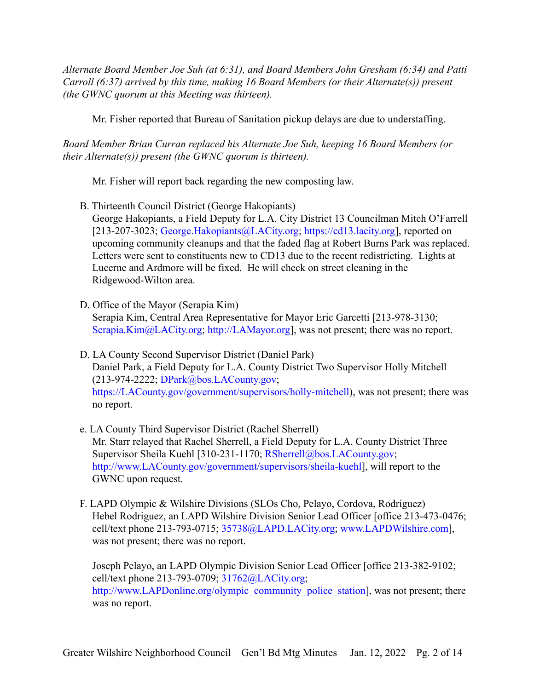*Alternate Board Member Joe Suh (at 6:31), and Board Members John Gresham (6:34) and Patti Carroll (6:37) arrived by this time, making 16 Board Members (or their Alternate(s)) present (the GWNC quorum at this Meeting was thirteen).*

Mr. Fisher reported that Bureau of Sanitation pickup delays are due to understaffing.

*Board Member Brian Curran replaced his Alternate Joe Suh, keeping 16 Board Members (or their Alternate(s)) present (the GWNC quorum is thirteen).*

Mr. Fisher will report back regarding the new composting law.

B. Thirteenth Council District (George Hakopiants)

George Hakopiants, a Field Deputy for L.A. City District 13 Councilman Mitch O'Farrell [213-207-3023; [George.Hakopiants@LACity.org;](mailto:George.Hakopiants@LACity.org) <https://cd13.lacity.org>], reported on upcoming community cleanups and that the faded flag at Robert Burns Park was replaced. Letters were sent to constituents new to CD13 due to the recent redistricting. Lights at Lucerne and Ardmore will be fixed. He will check on street cleaning in the Ridgewood-Wilton area.

- D. Office of the Mayor (Serapia Kim) Serapia Kim, Central Area Representative for Mayor Eric Garcetti [213-978-3130; [Serapia.Kim@LACity.org;](mailto: Serapia.Kim@LACity.org) [http://LAMayor.org\]](http://lamayor.org), was not present; there was no report.
- D. LA County Second Supervisor District (Daniel Park) Daniel Park, a Field Deputy for L.A. County District Two Supervisor Holly Mitchell (213-974-2222; [DPark@bos.LACounty.gov](mailto:DPark@bos.LACounty.gov); [https://LACounty.gov/government/supervisors/holly-mitchell\)](https://lacounty.gov/government/supervisors/holly-mitchell), was not present; there was no report.
- e. LA County Third Supervisor District (Rachel Sherrell) Mr. Starr relayed that Rachel Sherrell, a Field Deputy for L.A. County District Three Supervisor Sheila Kuehl [310-231-1170; [RSherrell@bos.LACounty.gov](mailto:RSherrell@bos.LACounty.gov); [http://www.LACounty.gov/government/supervisors/sheila-kuehl\]](http://www.lacounty.gov/government/supervisors/sheila-kuehl), will report to the GWNC upon request.
- F. LAPD Olympic & Wilshire Divisions (SLOs Cho, Pelayo, Cordova, Rodriguez) Hebel Rodriguez, an LAPD Wilshire Division Senior Lead Officer [office 213-473-0476; cell/text phone 213-793-0715; [35738@LAPD.LACity.org](mailto:35738@LAPD.LACity.org); [www.LAPDWilshire.com](http://www.lapdwilshire.com)], was not present; there was no report.

Joseph Pelayo, an LAPD Olympic Division Senior Lead Officer [office 213-382-9102; cell/text phone 213-793-0709; [31762@LACity.org;](mailto:31762@LACity.org) [http://www.LAPDonline.org/olympic\\_community\\_police\\_station](http://www.lapdonline.org/olympic_community_police_station)], was not present; there was no report.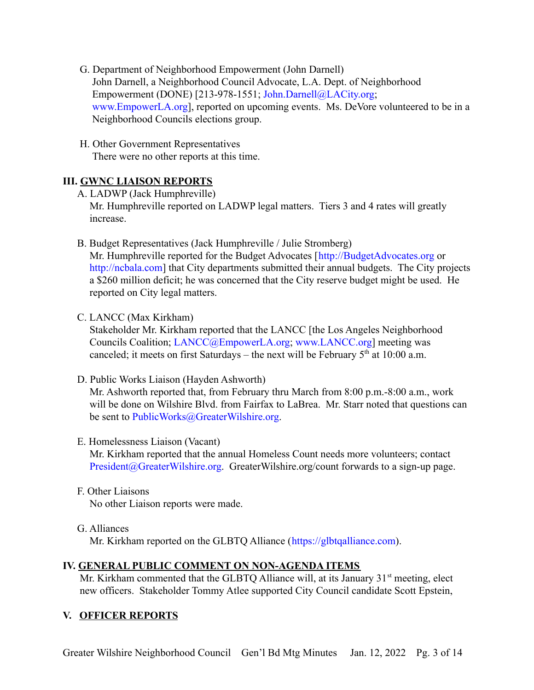- G. Department of Neighborhood Empowerment (John Darnell) John Darnell, a Neighborhood Council Advocate, L.A. Dept. of Neighborhood Empowerment (DONE) [213-978-1551; [John.Darnell@LACity.org](mailto:John.Darnell@LACity.org); [www.EmpowerLA.org](http://www.empowerla.org)], reported on upcoming events. Ms. DeVore volunteered to be in a Neighborhood Councils elections group.
- H. Other Government Representatives There were no other reports at this time.

# **III. GWNC LIAISON REPORTS**

- A. LADWP (Jack Humphreville) Mr. Humphreville reported on LADWP legal matters. Tiers 3 and 4 rates will greatly increase.
- B. Budget Representatives (Jack Humphreville / Julie Stromberg)

Mr. Humphreville reported for the Budget Advocates [[http://BudgetAdvocates.org](http://budgetadvocates.org) or [http://ncbala.com](http://ncbala.com/)] that City departments submitted their annual budgets. The City projects a \$260 million deficit; he was concerned that the City reserve budget might be used. He reported on City legal matters.

C. LANCC (Max Kirkham)

Stakeholder Mr. Kirkham reported that the LANCC [the Los Angeles Neighborhood Councils Coalition; [LANCC@EmpowerLA.org;](mailto:LANCC@EmpowerLA.org) [www.LANCC.org\]](http://www.lancc.org) meeting was canceled; it meets on first Saturdays – the next will be February  $5<sup>th</sup>$  at 10:00 a.m.

D. Public Works Liaison (Hayden Ashworth)

Mr. Ashworth reported that, from February thru March from 8:00 p.m.-8:00 a.m., work will be done on Wilshire Blvd. from Fairfax to LaBrea. Mr. Starr noted that questions can be sent to [PublicWorks@GreaterWilshire.org](mailto:PublicWorks@GreaterWilshire.org).

E. Homelessness Liaison (Vacant)

Mr. Kirkham reported that the annual Homeless Count needs more volunteers; contact [President@GreaterWilshire.org](mailto:President@GreaterWilshire.org). GreaterWilshire.org/count forwards to a sign-up page.

- F. Other Liaisons No other Liaison reports were made.
- G. Alliances Mr. Kirkham reported on the GLBTQ Alliance ([https://glbtqalliance.com\)](https://glbtqalliance.com).

# **IV. GENERAL PUBLIC COMMENT ON NON-AGENDA ITEMS**

Mr. Kirkham commented that the GLBTQ Alliance will, at its January  $31<sup>st</sup>$  meeting, elect new officers. Stakeholder Tommy Atlee supported City Council candidate Scott Epstein,

# **V. OFFICER REPORTS**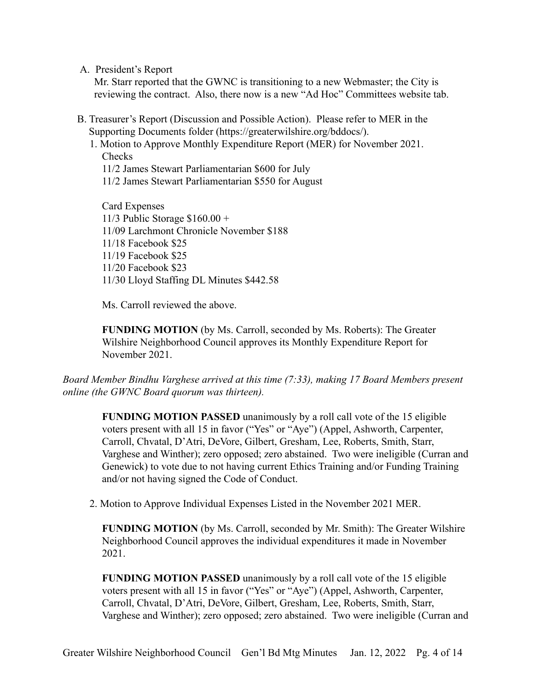A. President's Report

Mr. Starr reported that the GWNC is transitioning to a new Webmaster; the City is reviewing the contract. Also, there now is a new "Ad Hoc" Committees website tab.

- B. Treasurer's Report (Discussion and Possible Action). Please refer to MER in the Supporting Documents folder (https://greaterwilshire.org/bddocs/).
	- 1. Motion to Approve Monthly Expenditure Report (MER) for November 2021. Checks
		- 11/2 James Stewart Parliamentarian \$600 for July
		- 11/2 James Stewart Parliamentarian \$550 for August

Card Expenses 11/3 Public Storage \$160.00 + 11/09 Larchmont Chronicle November \$188 11/18 Facebook \$25 11/19 Facebook \$25 11/20 Facebook \$23 11/30 Lloyd Staffing DL Minutes \$442.58

Ms. Carroll reviewed the above.

**FUNDING MOTION** (by Ms. Carroll, seconded by Ms. Roberts): The Greater Wilshire Neighborhood Council approves its Monthly Expenditure Report for November 2021.

*Board Member Bindhu Varghese arrived at this time (7:33), making 17 Board Members present online (the GWNC Board quorum was thirteen).*

**FUNDING MOTION PASSED** unanimously by a roll call vote of the 15 eligible voters present with all 15 in favor ("Yes" or "Aye") (Appel, Ashworth, Carpenter, Carroll, Chvatal, D'Atri, DeVore, Gilbert, Gresham, Lee, Roberts, Smith, Starr, Varghese and Winther); zero opposed; zero abstained. Two were ineligible (Curran and Genewick) to vote due to not having current Ethics Training and/or Funding Training and/or not having signed the Code of Conduct.

2. Motion to Approve Individual Expenses Listed in the November 2021 MER.

**FUNDING MOTION** (by Ms. Carroll, seconded by Mr. Smith): The Greater Wilshire Neighborhood Council approves the individual expenditures it made in November 2021.

**FUNDING MOTION PASSED** unanimously by a roll call vote of the 15 eligible voters present with all 15 in favor ("Yes" or "Aye") (Appel, Ashworth, Carpenter, Carroll, Chvatal, D'Atri, DeVore, Gilbert, Gresham, Lee, Roberts, Smith, Starr, Varghese and Winther); zero opposed; zero abstained. Two were ineligible (Curran and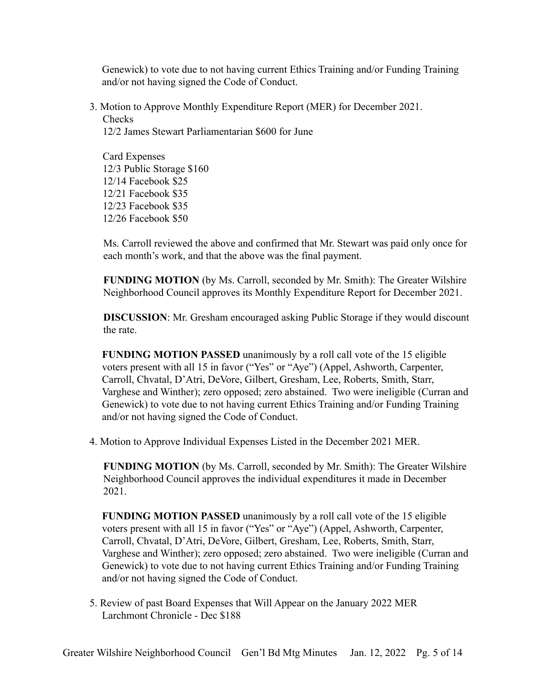Genewick) to vote due to not having current Ethics Training and/or Funding Training and/or not having signed the Code of Conduct.

3. Motion to Approve Monthly Expenditure Report (MER) for December 2021. **Checks** 12/2 James Stewart Parliamentarian \$600 for June

Card Expenses 12/3 Public Storage \$160 12/14 Facebook \$25 12/21 Facebook \$35 12/23 Facebook \$35 12/26 Facebook \$50

Ms. Carroll reviewed the above and confirmed that Mr. Stewart was paid only once for each month's work, and that the above was the final payment.

**FUNDING MOTION** (by Ms. Carroll, seconded by Mr. Smith): The Greater Wilshire Neighborhood Council approves its Monthly Expenditure Report for December 2021.

**DISCUSSION**: Mr. Gresham encouraged asking Public Storage if they would discount the rate.

**FUNDING MOTION PASSED** unanimously by a roll call vote of the 15 eligible voters present with all 15 in favor ("Yes" or "Aye") (Appel, Ashworth, Carpenter, Carroll, Chvatal, D'Atri, DeVore, Gilbert, Gresham, Lee, Roberts, Smith, Starr, Varghese and Winther); zero opposed; zero abstained. Two were ineligible (Curran and Genewick) to vote due to not having current Ethics Training and/or Funding Training and/or not having signed the Code of Conduct.

4. Motion to Approve Individual Expenses Listed in the December 2021 MER.

**FUNDING MOTION** (by Ms. Carroll, seconded by Mr. Smith): The Greater Wilshire Neighborhood Council approves the individual expenditures it made in December 2021.

**FUNDING MOTION PASSED** unanimously by a roll call vote of the 15 eligible voters present with all 15 in favor ("Yes" or "Aye") (Appel, Ashworth, Carpenter, Carroll, Chvatal, D'Atri, DeVore, Gilbert, Gresham, Lee, Roberts, Smith, Starr, Varghese and Winther); zero opposed; zero abstained. Two were ineligible (Curran and Genewick) to vote due to not having current Ethics Training and/or Funding Training and/or not having signed the Code of Conduct.

5. Review of past Board Expenses that Will Appear on the January 2022 MER Larchmont Chronicle - Dec \$188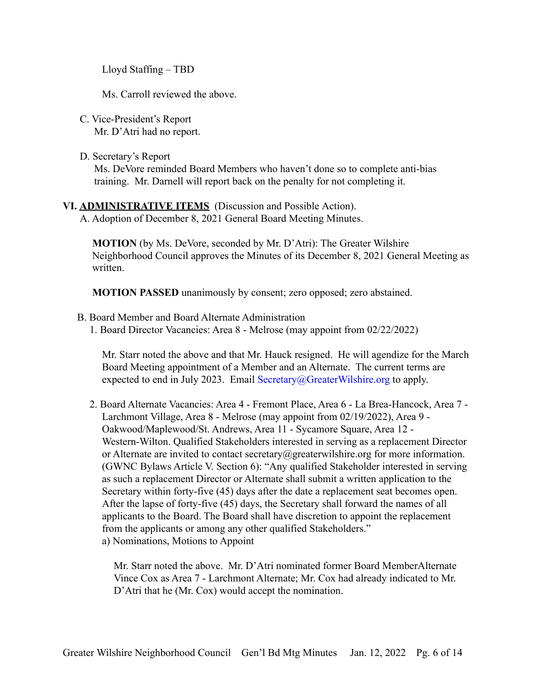Lloyd Staffing – TBD

Ms. Carroll reviewed the above.

- C. Vice-President's Report Mr. D'Atri had no report.
- D. Secretary's Report Ms. DeVore reminded Board Members who haven't done so to complete anti-bias training. Mr. Darnell will report back on the penalty for not completing it.

## **VI. ADMINISTRATIVE ITEMS** (Discussion and Possible Action).

A. Adoption of December 8, 2021 General Board Meeting Minutes.

**MOTION** (by Ms. DeVore, seconded by Mr. D'Atri): The Greater Wilshire Neighborhood Council approves the Minutes of its December 8, 2021 General Meeting as written.

**MOTION PASSED** unanimously by consent; zero opposed; zero abstained.

- B. Board Member and Board Alternate Administration
	- 1. Board Director Vacancies: Area 8 Melrose (may appoint from 02/22/2022)

Mr. Starr noted the above and that Mr. Hauck resigned. He will agendize for the March Board Meeting appointment of a Member and an Alternate. The current terms are expected to end in July 2023. Email [Secretary@GreaterWilshire.org](mailto:Secretary@GreaterWilshire.org) to apply.

2. Board Alternate Vacancies: Area 4 - Fremont Place, Area 6 - La Brea-Hancock, Area 7 - Larchmont Village, Area 8 - Melrose (may appoint from 02/19/2022), Area 9 - Oakwood/Maplewood/St. Andrews, Area 11 - Sycamore Square, Area 12 - Western-Wilton. Qualified Stakeholders interested in serving as a replacement Director or Alternate are invited to contact secretary@greaterwilshire.org for more information. (GWNC Bylaws Article V. Section 6): "Any qualified Stakeholder interested in serving as such a replacement Director or Alternate shall submit a written application to the Secretary within forty-five (45) days after the date a replacement seat becomes open. After the lapse of forty-five (45) days, the Secretary shall forward the names of all applicants to the Board. The Board shall have discretion to appoint the replacement from the applicants or among any other qualified Stakeholders." a) Nominations, Motions to Appoint

Mr. Starr noted the above. Mr. D'Atri nominated former Board MemberAlternate Vince Cox as Area 7 - Larchmont Alternate; Mr. Cox had already indicated to Mr. D'Atri that he (Mr. Cox) would accept the nomination.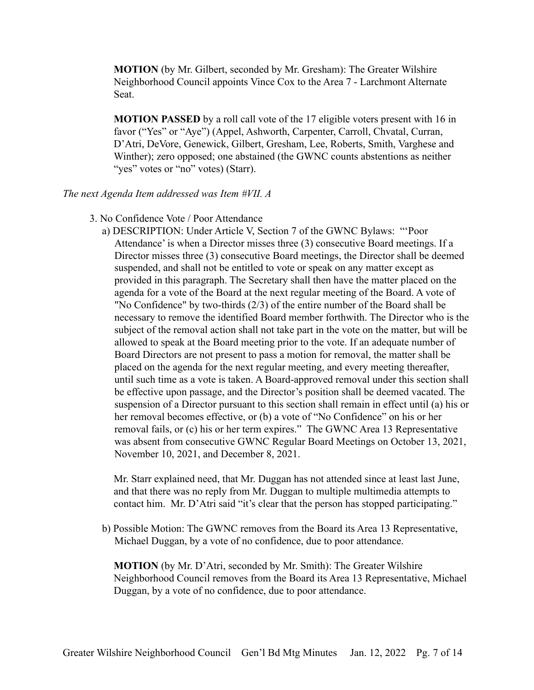**MOTION** (by Mr. Gilbert, seconded by Mr. Gresham): The Greater Wilshire Neighborhood Council appoints Vince Cox to the Area 7 - Larchmont Alternate Seat.

**MOTION PASSED** by a roll call vote of the 17 eligible voters present with 16 in favor ("Yes" or "Aye") (Appel, Ashworth, Carpenter, Carroll, Chvatal, Curran, D'Atri, DeVore, Genewick, Gilbert, Gresham, Lee, Roberts, Smith, Varghese and Winther); zero opposed; one abstained (the GWNC counts abstentions as neither "yes" votes or "no" votes) (Starr).

#### *The next Agenda Item addressed was Item #VII. A*

3. No Confidence Vote / Poor Attendance

a) DESCRIPTION: Under Article V, Section 7 of the GWNC Bylaws: "'Poor Attendance' is when a Director misses three (3) consecutive Board meetings. If a Director misses three (3) consecutive Board meetings, the Director shall be deemed suspended, and shall not be entitled to vote or speak on any matter except as provided in this paragraph. The Secretary shall then have the matter placed on the agenda for a vote of the Board at the next regular meeting of the Board. A vote of "No Confidence" by two-thirds (2/3) of the entire number of the Board shall be necessary to remove the identified Board member forthwith. The Director who is the subject of the removal action shall not take part in the vote on the matter, but will be allowed to speak at the Board meeting prior to the vote. If an adequate number of Board Directors are not present to pass a motion for removal, the matter shall be placed on the agenda for the next regular meeting, and every meeting thereafter, until such time as a vote is taken. A Board-approved removal under this section shall be effective upon passage, and the Director's position shall be deemed vacated. The suspension of a Director pursuant to this section shall remain in effect until (a) his or her removal becomes effective, or (b) a vote of "No Confidence" on his or her removal fails, or (c) his or her term expires." The GWNC Area 13 Representative was absent from consecutive GWNC Regular Board Meetings on October 13, 2021, November 10, 2021, and December 8, 2021.

Mr. Starr explained need, that Mr. Duggan has not attended since at least last June, and that there was no reply from Mr. Duggan to multiple multimedia attempts to contact him. Mr. D'Atri said "it's clear that the person has stopped participating."

b) Possible Motion: The GWNC removes from the Board its Area 13 Representative, Michael Duggan, by a vote of no confidence, due to poor attendance.

**MOTION** (by Mr. D'Atri, seconded by Mr. Smith): The Greater Wilshire Neighborhood Council removes from the Board its Area 13 Representative, Michael Duggan, by a vote of no confidence, due to poor attendance.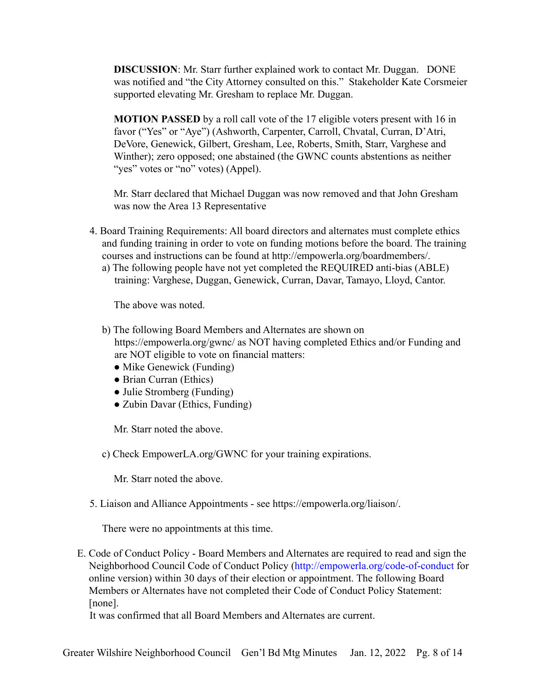**DISCUSSION**: Mr. Starr further explained work to contact Mr. Duggan. DONE was notified and "the City Attorney consulted on this." Stakeholder Kate Corsmeier supported elevating Mr. Gresham to replace Mr. Duggan.

**MOTION PASSED** by a roll call vote of the 17 eligible voters present with 16 in favor ("Yes" or "Aye") (Ashworth, Carpenter, Carroll, Chvatal, Curran, D'Atri, DeVore, Genewick, Gilbert, Gresham, Lee, Roberts, Smith, Starr, Varghese and Winther); zero opposed; one abstained (the GWNC counts abstentions as neither "yes" votes or "no" votes) (Appel).

Mr. Starr declared that Michael Duggan was now removed and that John Gresham was now the Area 13 Representative

- 4. Board Training Requirements: All board directors and alternates must complete ethics and funding training in order to vote on funding motions before the board. The training courses and instructions can be found at http://empowerla.org/boardmembers/.
	- a) The following people have not yet completed the REQUIRED anti-bias (ABLE) training: Varghese, Duggan, Genewick, Curran, Davar, Tamayo, Lloyd, Cantor.

The above was noted.

- b) The following Board Members and Alternates are shown on https://empowerla.org/gwnc/ as NOT having completed Ethics and/or Funding and are NOT eligible to vote on financial matters:
	- Mike Genewick (Funding)
	- Brian Curran (Ethics)
	- Julie Stromberg (Funding)
	- Zubin Davar (Ethics, Funding)

Mr. Starr noted the above.

c) Check EmpowerLA.org/GWNC for your training expirations.

Mr. Starr noted the above.

5. Liaison and Alliance Appointments - see https://empowerla.org/liaison/.

There were no appointments at this time.

E. Code of Conduct Policy - Board Members and Alternates are required to read and sign the Neighborhood Council Code of Conduct Policy (<http://empowerla.org/code-of-conduct> for online version) within 30 days of their election or appointment. The following Board Members or Alternates have not completed their Code of Conduct Policy Statement: [none].

It was confirmed that all Board Members and Alternates are current.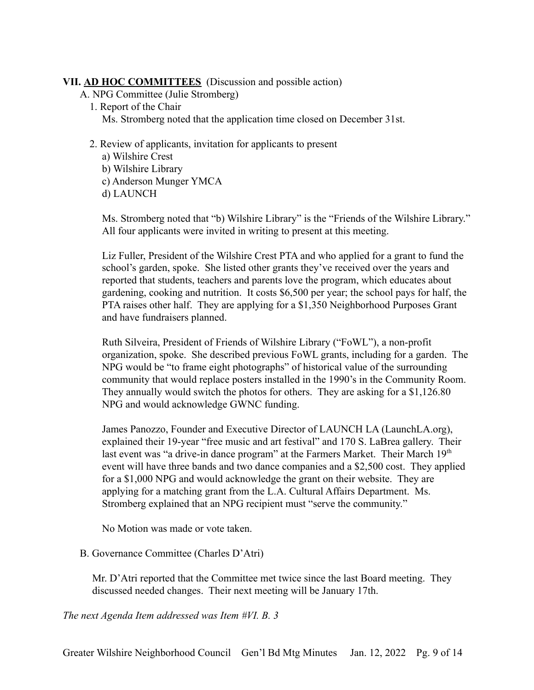## **VII. AD HOC COMMITTEES** (Discussion and possible action)

- A. NPG Committee (Julie Stromberg)
	- 1. Report of the Chair Ms. Stromberg noted that the application time closed on December 31st.
	- 2. Review of applicants, invitation for applicants to present
		- a) Wilshire Crest b) Wilshire Library c) Anderson Munger YMCA
		- d) LAUNCH

Ms. Stromberg noted that "b) Wilshire Library" is the "Friends of the Wilshire Library." All four applicants were invited in writing to present at this meeting.

Liz Fuller, President of the Wilshire Crest PTA and who applied for a grant to fund the school's garden, spoke. She listed other grants they've received over the years and reported that students, teachers and parents love the program, which educates about gardening, cooking and nutrition. It costs \$6,500 per year; the school pays for half, the PTA raises other half. They are applying for a \$1,350 Neighborhood Purposes Grant and have fundraisers planned.

Ruth Silveira, President of Friends of Wilshire Library ("FoWL"), a non-profit organization, spoke. She described previous FoWL grants, including for a garden. The NPG would be "to frame eight photographs" of historical value of the surrounding community that would replace posters installed in the 1990's in the Community Room. They annually would switch the photos for others. They are asking for a \$1,126.80 NPG and would acknowledge GWNC funding.

James Panozzo, Founder and Executive Director of LAUNCH LA (LaunchLA.org), explained their 19-year "free music and art festival" and 170 S. LaBrea gallery. Their last event was "a drive-in dance program" at the Farmers Market. Their March 19<sup>th</sup> event will have three bands and two dance companies and a \$2,500 cost. They applied for a \$1,000 NPG and would acknowledge the grant on their website. They are applying for a matching grant from the L.A. Cultural Affairs Department. Ms. Stromberg explained that an NPG recipient must "serve the community."

No Motion was made or vote taken.

### B. Governance Committee (Charles D'Atri)

Mr. D'Atri reported that the Committee met twice since the last Board meeting. They discussed needed changes. Their next meeting will be January 17th.

*The next Agenda Item addressed was Item #VI. B. 3*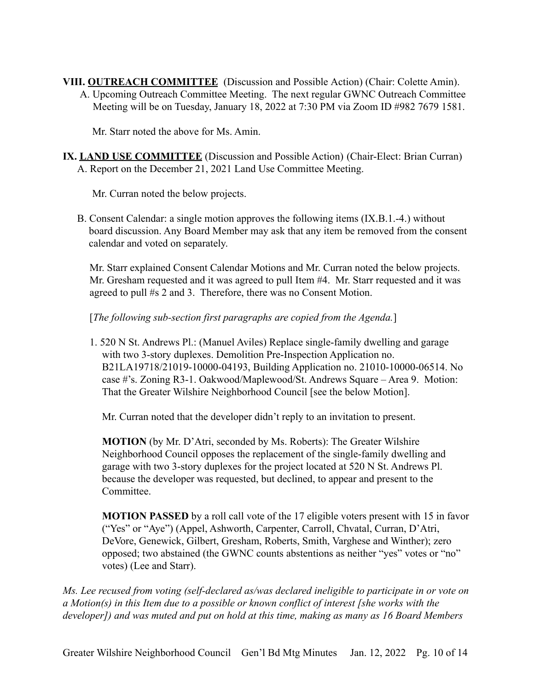**VIII. OUTREACH COMMITTEE** (Discussion and Possible Action) (Chair: Colette Amin). A. Upcoming Outreach Committee Meeting. The next regular GWNC Outreach Committee Meeting will be on Tuesday, January 18, 2022 at 7:30 PM via Zoom ID #982 7679 1581.

Mr. Starr noted the above for Ms. Amin.

**IX. LAND USE COMMITTEE** (Discussion and Possible Action) (Chair-Elect: Brian Curran) A. Report on the December 21, 2021 Land Use Committee Meeting.

Mr. Curran noted the below projects.

B. Consent Calendar: a single motion approves the following items (IX.B.1.-4.) without board discussion. Any Board Member may ask that any item be removed from the consent calendar and voted on separately.

Mr. Starr explained Consent Calendar Motions and Mr. Curran noted the below projects. Mr. Gresham requested and it was agreed to pull Item #4. Mr. Starr requested and it was agreed to pull #s 2 and 3. Therefore, there was no Consent Motion.

[*The following sub-section first paragraphs are copied from the Agenda.*]

1. 520 N St. Andrews Pl.: (Manuel Aviles) Replace single-family dwelling and garage with two 3-story duplexes. Demolition Pre-Inspection Application no. B21LA19718/21019-10000-04193, Building Application no. 21010-10000-06514. No case #'s. Zoning R3-1. Oakwood/Maplewood/St. Andrews Square – Area 9. Motion: That the Greater Wilshire Neighborhood Council [see the below Motion].

Mr. Curran noted that the developer didn't reply to an invitation to present.

**MOTION** (by Mr. D'Atri, seconded by Ms. Roberts): The Greater Wilshire Neighborhood Council opposes the replacement of the single-family dwelling and garage with two 3-story duplexes for the project located at 520 N St. Andrews Pl. because the developer was requested, but declined, to appear and present to the Committee.

**MOTION PASSED** by a roll call vote of the 17 eligible voters present with 15 in favor ("Yes" or "Aye") (Appel, Ashworth, Carpenter, Carroll, Chvatal, Curran, D'Atri, DeVore, Genewick, Gilbert, Gresham, Roberts, Smith, Varghese and Winther); zero opposed; two abstained (the GWNC counts abstentions as neither "yes" votes or "no" votes) (Lee and Starr).

*Ms. Lee recused from voting (self-declared as/was declared ineligible to participate in or vote on a Motion(s) in this Item due to a possible or known conflict of interest [she works with the developer]) and was muted and put on hold at this time, making as many as 16 Board Members*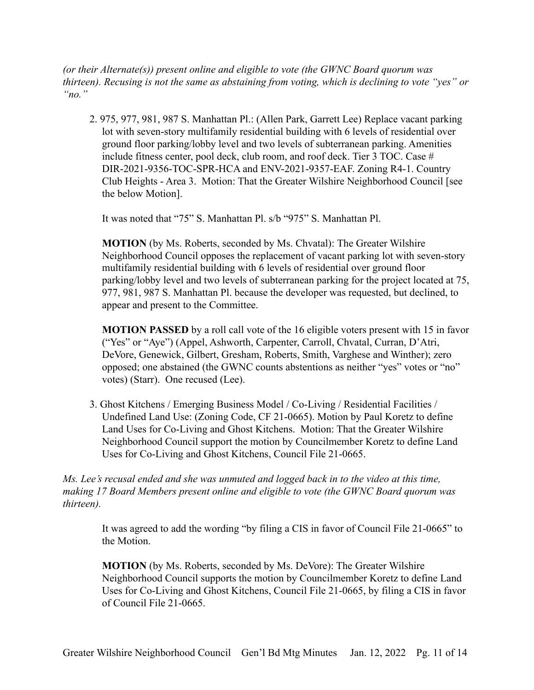*(or their Alternate(s)) present online and eligible to vote (the GWNC Board quorum was thirteen). Recusing is not the same as abstaining from voting, which is declining to vote "yes" or "no."*

2. 975, 977, 981, 987 S. Manhattan Pl.: (Allen Park, Garrett Lee) Replace vacant parking lot with seven-story multifamily residential building with 6 levels of residential over ground floor parking/lobby level and two levels of subterranean parking. Amenities include fitness center, pool deck, club room, and roof deck. Tier 3 TOC. Case # DIR-2021-9356-TOC-SPR-HCA and ENV-2021-9357-EAF. Zoning R4-1. Country Club Heights - Area 3. Motion: That the Greater Wilshire Neighborhood Council [see the below Motion].

It was noted that "75" S. Manhattan Pl. s/b "975" S. Manhattan Pl.

**MOTION** (by Ms. Roberts, seconded by Ms. Chvatal): The Greater Wilshire Neighborhood Council opposes the replacement of vacant parking lot with seven-story multifamily residential building with 6 levels of residential over ground floor parking/lobby level and two levels of subterranean parking for the project located at 75, 977, 981, 987 S. Manhattan Pl. because the developer was requested, but declined, to appear and present to the Committee.

**MOTION PASSED** by a roll call vote of the 16 eligible voters present with 15 in favor ("Yes" or "Aye") (Appel, Ashworth, Carpenter, Carroll, Chvatal, Curran, D'Atri, DeVore, Genewick, Gilbert, Gresham, Roberts, Smith, Varghese and Winther); zero opposed; one abstained (the GWNC counts abstentions as neither "yes" votes or "no" votes) (Starr). One recused (Lee).

3. Ghost Kitchens / Emerging Business Model / Co-Living / Residential Facilities / Undefined Land Use: (Zoning Code, CF 21-0665). Motion by Paul Koretz to define Land Uses for Co-Living and Ghost Kitchens. Motion: That the Greater Wilshire Neighborhood Council support the motion by Councilmember Koretz to define Land Uses for Co-Living and Ghost Kitchens, Council File 21-0665.

*Ms. Lee's recusal ended and she was unmuted and logged back in to the video at this time, making 17 Board Members present online and eligible to vote (the GWNC Board quorum was thirteen).*

It was agreed to add the wording "by filing a CIS in favor of Council File 21-0665" to the Motion.

**MOTION** (by Ms. Roberts, seconded by Ms. DeVore): The Greater Wilshire Neighborhood Council supports the motion by Councilmember Koretz to define Land Uses for Co-Living and Ghost Kitchens, Council File 21-0665, by filing a CIS in favor of Council File 21-0665.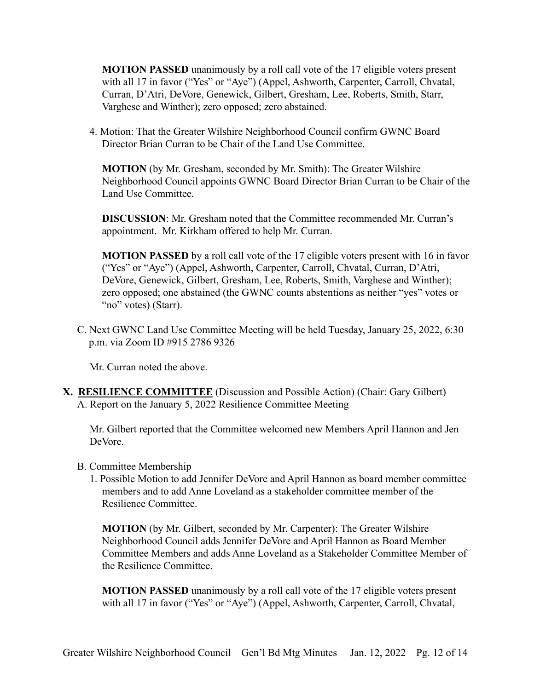**MOTION PASSED** unanimously by a roll call vote of the 17 eligible voters present with all 17 in favor ("Yes" or "Aye") (Appel, Ashworth, Carpenter, Carroll, Chvatal, Curran, D'Atri, DeVore, Genewick, Gilbert, Gresham, Lee, Roberts, Smith, Starr, Varghese and Winther); zero opposed; zero abstained.

4. Motion: That the Greater Wilshire Neighborhood Council confirm GWNC Board Director Brian Curran to be Chair of the Land Use Committee.

**MOTION** (by Mr. Gresham, seconded by Mr. Smith): The Greater Wilshire Neighborhood Council appoints GWNC Board Director Brian Curran to be Chair of the Land Use Committee.

**DISCUSSION**: Mr. Gresham noted that the Committee recommended Mr. Curran's appointment. Mr. Kirkham offered to help Mr. Curran.

**MOTION PASSED** by a roll call vote of the 17 eligible voters present with 16 in favor ("Yes" or "Aye") (Appel, Ashworth, Carpenter, Carroll, Chvatal, Curran, D'Atri, DeVore, Genewick, Gilbert, Gresham, Lee, Roberts, Smith, Varghese and Winther); zero opposed; one abstained (the GWNC counts abstentions as neither "yes" votes or "no" votes) (Starr).

C. Next GWNC Land Use Committee Meeting will be held Tuesday, January 25, 2022, 6:30 p.m. via Zoom ID #915 2786 9326

Mr. Curran noted the above.

**X. RESILIENCE COMMITTEE** (Discussion and Possible Action) (Chair: Gary Gilbert) A. Report on the January 5, 2022 Resilience Committee Meeting

Mr. Gilbert reported that the Committee welcomed new Members April Hannon and Jen DeVore.

- B. Committee Membership
	- 1. Possible Motion to add Jennifer DeVore and April Hannon as board member committee members and to add Anne Loveland as a stakeholder committee member of the Resilience Committee.

**MOTION** (by Mr. Gilbert, seconded by Mr. Carpenter): The Greater Wilshire Neighborhood Council adds Jennifer DeVore and April Hannon as Board Member Committee Members and adds Anne Loveland as a Stakeholder Committee Member of the Resilience Committee.

**MOTION PASSED** unanimously by a roll call vote of the 17 eligible voters present with all 17 in favor ("Yes" or "Aye") (Appel, Ashworth, Carpenter, Carroll, Chvatal,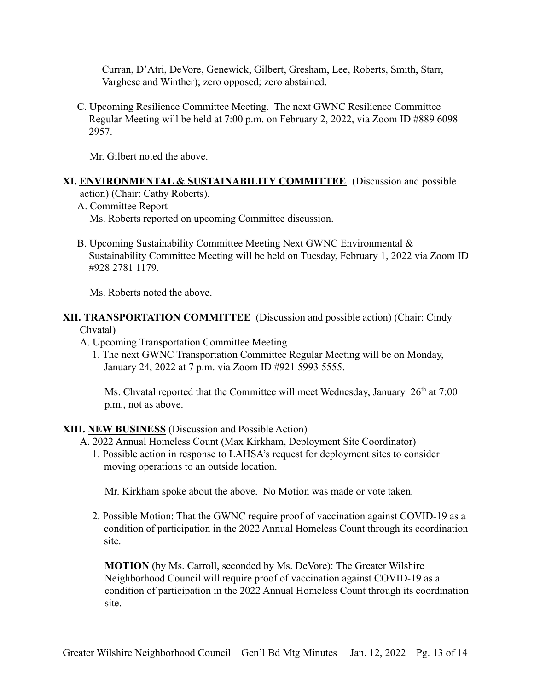Curran, D'Atri, DeVore, Genewick, Gilbert, Gresham, Lee, Roberts, Smith, Starr, Varghese and Winther); zero opposed; zero abstained.

C. Upcoming Resilience Committee Meeting. The next GWNC Resilience Committee Regular Meeting will be held at 7:00 p.m. on February 2, 2022, via Zoom ID #889 6098 2957.

Mr. Gilbert noted the above.

#### **XI. ENVIRONMENTAL & SUSTAINABILITY COMMITTEE** (Discussion and possible action) (Chair: Cathy Roberts).

A. Committee Report

Ms. Roberts reported on upcoming Committee discussion.

B. Upcoming Sustainability Committee Meeting Next GWNC Environmental & Sustainability Committee Meeting will be held on Tuesday, February 1, 2022 via Zoom ID #928 2781 1179.

Ms. Roberts noted the above.

#### **XII. TRANSPORTATION COMMITTEE** (Discussion and possible action) (Chair: Cindy Chvatal)

- A. Upcoming Transportation Committee Meeting
	- 1. The next GWNC Transportation Committee Regular Meeting will be on Monday, January 24, 2022 at 7 p.m. via Zoom ID #921 5993 5555.

Ms. Chvatal reported that the Committee will meet Wednesday, January  $26<sup>th</sup>$  at 7:00 p.m., not as above.

**XIII. NEW BUSINESS** (Discussion and Possible Action)

- A. 2022 Annual Homeless Count (Max Kirkham, Deployment Site Coordinator)
	- 1. Possible action in response to LAHSA's request for deployment sites to consider moving operations to an outside location.

Mr. Kirkham spoke about the above. No Motion was made or vote taken.

2. Possible Motion: That the GWNC require proof of vaccination against COVID-19 as a condition of participation in the 2022 Annual Homeless Count through its coordination site.

**MOTION** (by Ms. Carroll, seconded by Ms. DeVore): The Greater Wilshire Neighborhood Council will require proof of vaccination against COVID-19 as a condition of participation in the 2022 Annual Homeless Count through its coordination site.